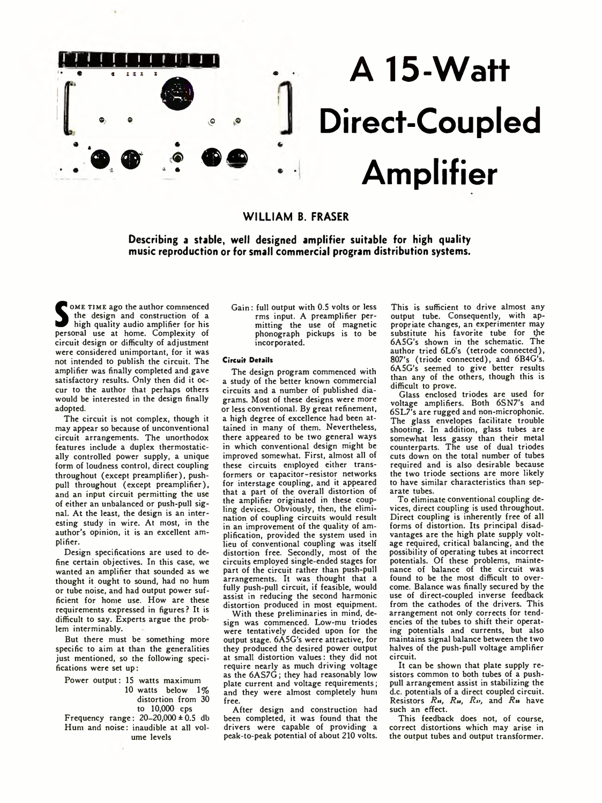

# **A 15-Watt Direct-Coupled Amplifier**

## **W ILLIAM B. FRASER**

**Describing a stable, well designed amplifier suitable for high quality music reproduction or for small commercial program distribution systems.**

**S**<br>
high quality audio amplifier for his<br>
personal use at home. Complexity of **OME TIME ago the author commenced** the design and construction of a high quality audio amplifier for his circuit design or difficulty of adjustment were considered unimportant, for it was not intended to publish the circuit. The amplifier was finally completed and gave satisfactory results. Only then did it occur to the author that perhaps others would be interested in the design finally adopted.

The circuit is not complex, though it may appear so because of unconventional circuit arrangements. The unorthodox features include a duplex thermostatically controlled power supply, a unique form of loudness control, direct coupling throughout (except preamplifier), pushpull throughout (except preamplifier), and an input circuit permitting the use of either an unbalanced or push-pull signal. At the least, the design is an interesting study in wire. At most, in the author's opinion, it is an excellent amplifier.

Design specifications are used to define certain objectives. In this case, we wanted an amplifier that sounded as we thought it ought to sound, had no hum or tube noise, and had output power sufficient for home use. How are these requirements expressed in figures? It is difficult to say. Experts argue the problem interminably.

But there must be something more specific to aim at than the generalities just mentioned, so the following specifications were set up:

Power output: IS watts maximum 10 watts below *1%* distortion from 30 to 10,000 cps

Frequency range:  $20-20,000 \pm 0.5$  db Hum and noise: inaudible at all volume levels

Gain: full output with 0.5 volts or less rms input. A preamplifier permitting the use of magnetic phonograph pickups is to be incorporated.

### **Circuit Details**

The design program commenced with a study of the better known commercial circuits and a number of published diagrams. Most of these designs were more or less conventional. By great refinement, a high degree of excellence had been attained in many of them. Nevertheless, there appeared to be two general ways in which conventional design might be improved somewhat. First, almost all of these circuits employed either transformers or capacitor-resistor networks for interstage coupling, and it appeared that a part of the overall distortion of the amplifier originated in these coupling devices. Obviously, then, the elimination of coupling circuits would result in an improvement of the quality of amplification, provided the system used in lieu of conventional coupling was itself distortion free. Secondly, most of the circuits employed single-ended stages for part of the circuit rather than push-pull arrangements. It was thought that a fully push-pull circuit, if feasible, would assist in reducing the second harmonic distortion produced in most equipment.

With these preliminaries in mind, design was commenced. Low-mu triodes were tentatively decided upon for the output stage. 6A5G's were attractive, for they produced the desired power output at small distortion values: they did not require nearly as much driving voltage as the 6AS7G; they had reasonably low plate current and voltage requirements; and they were almost completely hum free.

After design and construction had been completed, it was found that the drivers were capable of providing a peak-to-peak potential of about 210 volts.

This is sufficient to drive almost any output tube. Consequently, with appropriate changes, an experimenter may substitute his favorite tube for the 6A5G's shown in the schematic. The author tried 6L6's (tetrode connected), 807's (triode connected), and 6B4G's. 6A5G's seemed to give better results than any of the others, though this is difficult to prove.

Glass enclosed triodes are used for voltage amplifiers. Both 6SN7's and 6SL7's are rugged and non-microphonic. The glass envelopes facilitate trouble shooting. In addition, glass tubes are somewhat less gassy than their metal counterparts. The use of dual triodes cuts down on the total number of tubes required and is also desirable because the two triode sections are more likely to have similar characteristics than separate tubes.

To eliminate conventional coupling devices, direct coupling is used throughout. Direct coupling is inherently free of all forms of distortion. Its principal disadvantages are the high plate supply voltage required, critical balancing, and the possibility of operating tubes at incorrect potentials. Of these problems, maintenance of balance of the circuit was found to be the most difficult to overcome. Balance was finally secured by the use of direct-coupled inverse feedback from the cathodes of the drivers. This arrangement not only corrects for tendencies of the tubes to shift their operating potentials and currents, but also maintains signal balance between the two halves of the push-pull voltage amplifier circuit.

It can be shown that plate supply resistors common to both tubes of a pushpull arrangement assist in stabilizing the d.c. potentials of a direct coupled circuit. Resistors *Ru*, *Ru*, *Rv*, and *Ru* have such an effect.

This feedback does not, of course, correct distortions which may arise in the output tubes and output transformer.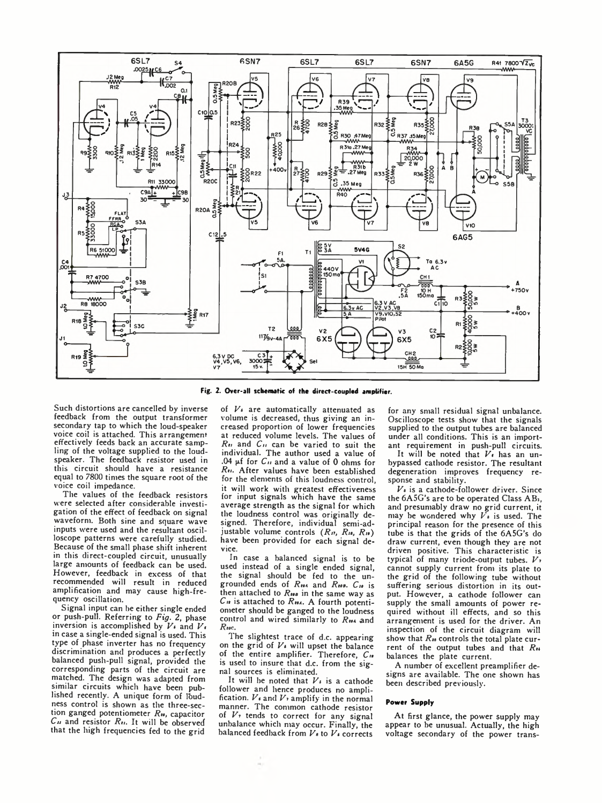

**Fig. 2. Over-all schematic of the direct-coupled amplifier.**

Such distortions are cancelled by inverse feedback from the output transformer secondary tap to which the loud-speaker voice coil is attached. This arrangement effectively feeds back an accurate sampling of the voltage supplied to the loudspeaker. The feedback resistor used in this circuit should have a resistance equal to 7800 times the square root of the voice coil impedance.

The values of the feedback resistors were selected after considerable investigation of the effect of feedback on signal waveform. Both sine and square wave inputs were used and the resultant oscilloscope patterns were carefully studied. Because of the small phase shift inherent in this direct-coupled circuit, unusually large amounts of feedback can be used. However, feedback in excess of that recommended will result in reduced amplification and may cause high-frequency oscillation.

Signal input can be either single ended or push-pull. Referring to *Fig.* 2, phase inversion is accomplished by *Vt* and *V,* in case a single-ended signal is used. This type of phase inverter has no frequency discrimination and produces a perfectly balanced push-pull signal, provided the corresponding parts of the circuit are matched. The design was adapted from similar circuits which have been published recently. A unique form of loudness control is shown as the three-section ganged potentiometer  $R_{\theta}$ , capacitor Cii and resistor *Rn.* It will be observed that the high frequencies fed to the grid

of *Vi* are automatically attenuated as volume is decreased, thus giving an increased proportion of lower frequencies at reduced volume levels. The values of *Rn* and C« can be varied to suit the individual. The author used a value of .04  $\mu$ f for  $C_{II}$  and a value of 0 ohms for *Rn.* After values have been established for the elements of this loudness control, it will work with greatest effectiveness for input signals which have the same average strength as the signal for which the loudness control was originally designed. Therefore, individual semi-adjustable volume controls *(Rn, Rn, Rn)* have been provided for each signal device.

In case a balanced signal is to be used instead of a single ended signal, the signal should be fed to the ungrounded ends of *R*<sub>10</sub>4</sub> and *R*<sub>10</sub><sup>8</sup>. C<sub>10</sub> is then attached to *R*<sub>10</sub> in the same way as *Cu* is attached to *<sup>R</sup> u a .* A fourth potentiometer should be ganged to the loudness control and wired similarly to *R ua* and *Rnc.*

The slightest trace of d.c. appearing on the grid of *Vi* will upset the balance of the entire amplifier. Therefore, *Cn* is used to insure that d.c. from the signal sources is eliminated.

It will be noted that *Vi* is a cathode follower and hence produces no amplification.  $V_5$  and  $V_7$  amplify in the normal manner. The common cathode resistor of  $V_1$  tends to correct for any signal unbalance which may occur. Finally, the balanced feedback from *Vt* to *Vi* corrects

for any small residual signal unbalance. Oscilloscope tests show that the signals supplied to the output tubes are balanced under all conditions. This is an important requirement in push-pull circuits. It will be noted that *Vi* has an unbypassed cathode resistor. The resultant degeneration improves frequency response and stability.

*Vt* is a cathode-follower driver. Since the 6A5G's are to be operated Class ABi, and presumably draw no grid current, it may be wondered why  $V_1$  is used. The principal reason for the presence of this tube is that the grids of the 6A5G's do draw current, even though they are not driven positive. This characteristic is typical of many triode-output tubes. *Vi* cannot supply current from its plate to the grid of the following tube without suffering serious distortion in its output. However, a cathode follower can supply the small amounts of power required without ill effects, and so this arrangement is used for the driver. An inspection of the circuit diagram will show that  $R$ <sup>28</sup> controls the total plate current of the output tubes and that *Rn* balances the plate current.

A number of excellent preamplifier designs are available. The one shown has been described previously.

#### **Power Supply**

At first glance, the power supply may appear to be unusual. Actually, the high voltage secondary of the power trans-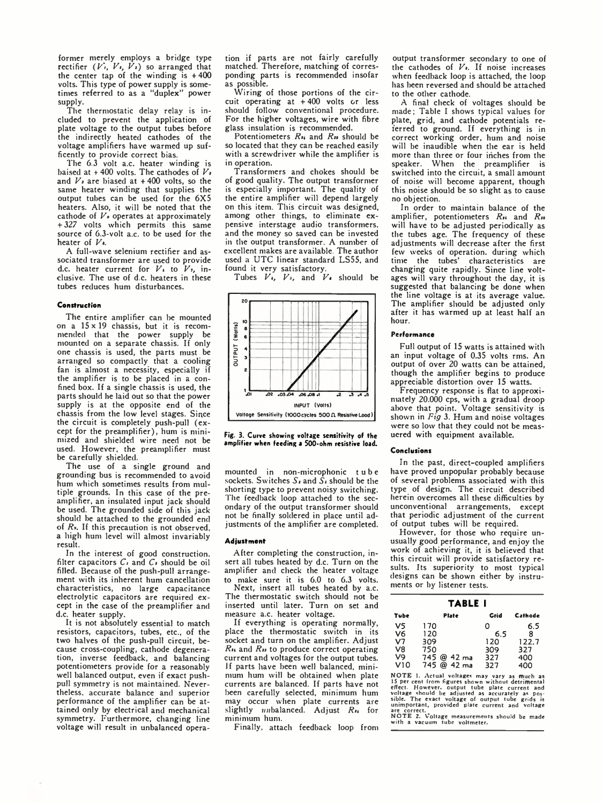former merely employs a bridge type rectifier  $(V<sub>i</sub>, V<sub>i</sub>, V<sub>i</sub>)$  so arranged that the center tap of the winding is  $+400$ volts. This type of power supply is sometimes referred to as a "duplex" power supply.

The thermostatic delay relay is included to prevent the application of plate voltage to the output tubes before the indirectly heated cathodes of the voltage amplifiers have warmed up sufficently to provide correct bias.

The 6.3 volt a.c. heater winding is baised at  $+$  400 volts. The cathodes of  $V_1$ and  $V<sub>s</sub>$  are biased at  $+400$  volts, so the same heater winding that supplies the output tubes can be used for the 6X5 heaters. Also, it will be noted that the cathode of *Vs* operates at approximately + 327 volts which permits this same source of 6.3-volt a.c. to be used for the heater of *Vs.*

A full-wave selenium rectifier and associated transformer are used to provide d.c. heater current for *Vs* to *Vs,* inclusive. The use of d.c. heaters in these tubes reduces hum disturbances.

#### **Construction**

The entire amplifier can be mounted on a 15 x 19 chassis, but it is recommended that the power supply be mounted on a separate chassis. If only one chassis is used, the parts must be arranged so compactly that a cooling fan is almost a necessity, especially if the amplifier is to be placed in a confined box. If a single chassis is used, the parts should he laid out so that the power supply is at the opposite end of the chassis from the low level stages. Since the circuit is completely push-pull (except for the preamplifier), hum is minimized and shielded wire need not be used. However, the preamplifier must be carefully shielded.

The use of a single ground and grounding bus is recommended to avoid hum which sometimes results from multiple grounds. In this case of the preamplifier, an insulated input jack should be used. The grounded side of this jack should be attached to the grounded end of *Rs.* If this precaution is not observed, a high hum level will almost invariably result.

In the interest of good construction, filter capacitors *Cs* and *Cs* should be oil filled. Because of the push-pull arrangement with its inherent hum cancellation characteristics, no large capacitance electrolytic capacitors are required except in the case of the preamplifier and d.c. heater supply.

It is not absolutely essential to match resistors, capacitors, tubes, etc., of the two halves of the push-pull circuit, because cross-coupling, cathode degeneration, inverse feedback, and balancing potentiometers provide for a reasonably well balanced output, even if exact pushpull symmetry is not maintained. Nevertheless, accurate balance and superior performance of the amplifier can be attained only by electrical and mechanical symmetry. Furthermore, changing line voltage will result in unbalanced operation if parts are not fairly carefully matched. Therefore, matching of corresponding parts is recommended insofar as possible.

Wiring of those portions of the circuit operating at +400 volts or less should follow conventional procedure. For the higher voltages, wire with fibre glass insulation is recommended.

Potentiometers *Rss* and *Rss* should be so located that they can be reached easily with a screwdriver while the amplifier is in operation.

Transformers and chokes should be of good quality. The output transformer is especially important. The quality of the entire amplifier will depend largely on this item. This circuit was designed, among other things, to eliminate expensive interstage audio transformers, and the money so saved can be invested in the output transformer. A number of excellent makes are available. The author used a UTC linear standard LS55, and found it very satisfactory.

Tubes  $V_1$ ,  $V_2$ , and  $V_3$  should be



**Fig. 3. Curve showing voltage sensitivity of the amplifier when feeding a 500-ohm resistive load.**

mounted in non-microphonic tube sockets. Switches *Ss* and *Si* should be the shorting type to prevent noisy switching. The feedback loop attached to the secondary of the output transformer should not be finally soldered in place until adjustments of the amplifier are completed.

#### **Adjustment**

After completing the construction, insert all tubes heated by d.c. Turn on the amplifier and check the heater voltage to make sure it is 6.0 to 6.3 volts. Next, insert all tubes heated by a.c. The thermostatic switch should not be inserted until later. Turn on set and measure a.c. heater voltage.

If everything is operating normally, place the thermostatic switch in its socket and turn on the amplifier. Adjust *Rss* and *Rss* to produce correct operating current and voltages for the output tubes. If parts have been well balanced, minimum hum will be obtained when plate currents are balanced. If parts have not been carefully selected, minimum hum may occur when plate currents are slightly imbalanced. Adjust *Rss* for minimum hum.

Finally, attach feedback loop from

output transformer secondary to one of the cathodes of  $V<sub>1</sub>$ . If noise increases when feedback loop is attached, the loop has been reversed and should be attached to the other cathode.

A final check of voltages should be made; Table I shows typical values for plate, grid, and cathode potentials referred to ground. If everything is in correct working order, hum and noise will be inaudible when the ear is held more than three or four inches from the<br>speaker. When the preamplifier is When the preamplifier is switched into the circuit, a small amount of noise will become apparent, though this noise should be so slight as to cause no objection.

In order to maintain balance of the amplifier, potentiometers *Rss* and *Rss* will have to be adjusted periodically as the tubes age. The frequency of these adjustments will decrease after the first few weeks of operation, during which time the tubes' characteristics are changing quite rapidly. Since line voltages will vary throughout the day, it is suggested that balancing be done when the line voltage is at its average value. The amplifier should be adjusted only after it has warmed up at least half an hour.

#### **Performance**

Full output of 15 watts is attained with an input voltage of 0.35 volts rms. An output of over 20 watts can be attained, though the amplifier begins to produce appreciable distortion over 15 watts.

Frequency response is flat to approximately 20.000 cps, with a gradual droop above that point. Voltage sensitivity is shown in *Fig* 3. Hum and noise voltages were so low that they could not be measuered with equipment available.

#### **Conclusions**

In the past, direct-coupled amplifiers have proved unpopular probably because of several problems associated with this type of design. The circuit described herein overcomes all these difficulties by unconventional arrangements, except that periodic adjustment of the current of output tubes will be required.

However, for those who require unusually good performance, and enjoy the work of achieving it, it is believed that this circuit will provide satisfactory results. Its superiority to most typical designs can be shown either by instruments or by listener tests.

| <b>TABLE I</b> |             |      |         |  |  |  |  |
|----------------|-------------|------|---------|--|--|--|--|
| Tube           | Plate       | Grid | Cathode |  |  |  |  |
| V5             | 170         | ο    | 6.5     |  |  |  |  |
| V <sub>6</sub> | 120         | 6.5  | R       |  |  |  |  |
| V7             | 309         | 120  | 122.7   |  |  |  |  |
| V8             | 750         | 309  | 327     |  |  |  |  |
| V9             | 745 @ 42 ma | 327  | 400     |  |  |  |  |
| V10            | 745 @ 42 ma | 327  | 400     |  |  |  |  |

NOTE 1. Actual voltages may vary as much as<br>15 per cent from figures shown without detrimental<br>effect. However, output tube plate current and<br>voltage should be adjusted as accurately as pos-<br>sible. The exact voltage of out

are correct. **NOTE** 2. Voltage measurements should be made with a vacuum tube voltmeter.